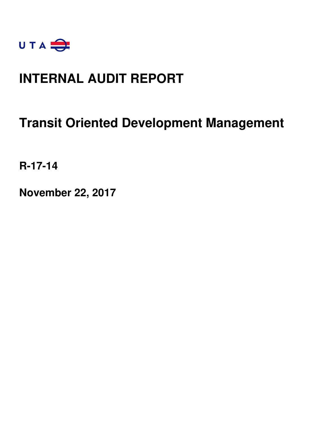

### **INTERNAL AUDIT REPORT**

### **Transit Oriented Development Management**

**R-17-14** 

**November 22, 2017**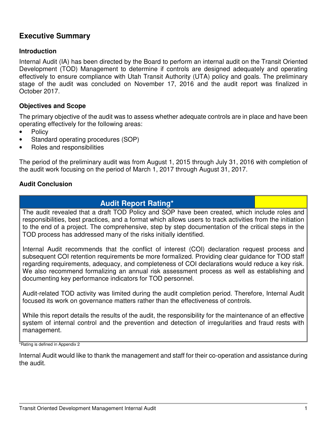### **Executive Summary**

### **Introduction**

Internal Audit (IA) has been directed by the Board to perform an internal audit on the Transit Oriented Development (TOD) Management to determine if controls are designed adequately and operating effectively to ensure compliance with Utah Transit Authority (UTA) policy and goals. The preliminary stage of the audit was concluded on November 17, 2016 and the audit report was finalized in October 2017.

### **Objectives and Scope**

The primary objective of the audit was to assess whether adequate controls are in place and have been operating effectively for the following areas:

- **Policy**
- Standard operating procedures (SOP)
- Roles and responsibilities

The period of the preliminary audit was from August 1, 2015 through July 31, 2016 with completion of the audit work focusing on the period of March 1, 2017 through August 31, 2017.

### **Audit Conclusion**

### **Audit Report Rating\***

The audit revealed that a draft TOD Policy and SOP have been created, which include roles and responsibilities, best practices, and a format which allows users to track activities from the initiation to the end of a project. The comprehensive, step by step documentation of the critical steps in the TOD process has addressed many of the risks initially identified.

Internal Audit recommends that the conflict of interest (COI) declaration request process and subsequent COI retention requirements be more formalized. Providing clear guidance for TOD staff regarding requirements, adequacy, and completeness of COI declarations would reduce a key risk. We also recommend formalizing an annual risk assessment process as well as establishing and documenting key performance indicators for TOD personnel.

Audit-related TOD activity was limited during the audit completion period. Therefore, Internal Audit focused its work on governance matters rather than the effectiveness of controls.

While this report details the results of the audit, the responsibility for the maintenance of an effective system of internal control and the prevention and detection of irregularities and fraud rests with management.

\*Rating is defined in Appendix 2

Internal Audit would like to thank the management and staff for their co-operation and assistance during the audit.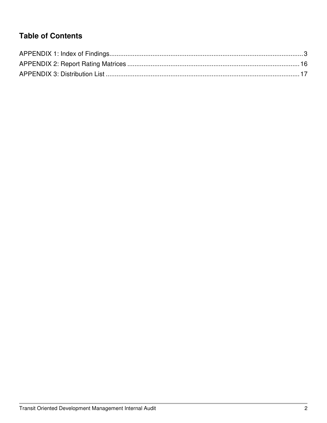### **Table of Contents**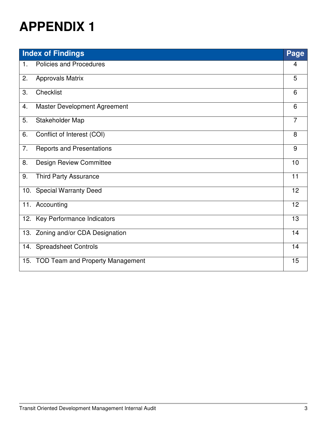|                | <b>Index of Findings</b>             | Page           |
|----------------|--------------------------------------|----------------|
| $\mathbf{1}$ . | <b>Policies and Procedures</b>       | 4              |
| 2.             | <b>Approvals Matrix</b>              | 5              |
| 3.             | Checklist                            | 6              |
| 4.             | Master Development Agreement         | 6              |
| 5.             | Stakeholder Map                      | $\overline{7}$ |
| 6.             | Conflict of Interest (COI)           | 8              |
| 7.             | <b>Reports and Presentations</b>     | 9              |
| 8.             | <b>Design Review Committee</b>       | 10             |
| 9.             | <b>Third Party Assurance</b>         | 11             |
|                | 10. Special Warranty Deed            | 12             |
|                | 11. Accounting                       | 12             |
|                | 12. Key Performance Indicators       | 13             |
|                | 13. Zoning and/or CDA Designation    | 14             |
|                | 14. Spreadsheet Controls             | 14             |
|                | 15. TOD Team and Property Management | 15             |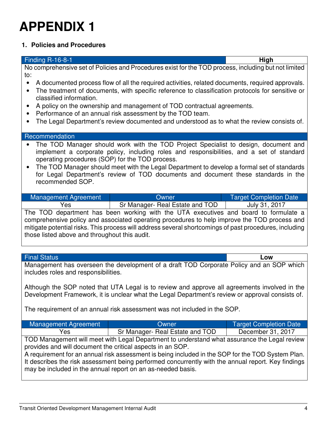### **1. Policies and Procedures**

#### Finding R-16-8-1 **High**

No comprehensive set of Policies and Procedures exist for the TOD process, including but not limited to:

- A documented process flow of all the required activities, related documents, required approvals.
- The treatment of documents, with specific reference to classification protocols for sensitive or classified information.
- A policy on the ownership and management of TOD contractual agreements.
- Performance of an annual risk assessment by the TOD team.
- The Legal Department's review documented and understood as to what the review consists of.

#### Recommendation

- The TOD Manager should work with the TOD Project Specialist to design, document and implement a corporate policy, including roles and responsibilities, and a set of standard operating procedures (SOP) for the TOD process.
- The TOD Manager should meet with the Legal Department to develop a formal set of standards for Legal Department's review of TOD documents and document these standards in the recommended SOP.

| Management Agreement | <b>Owner</b>                    | <b>Target Completion Date</b> |
|----------------------|---------------------------------|-------------------------------|
| Yes                  | Sr Manager- Real Estate and TOD | July 31, 2017                 |
|                      |                                 |                               |

The TOD department has been working with the UTA executives and board to formulate a comprehensive policy and associated operating procedures to help improve the TOD process and mitigate potential risks. This process will address several shortcomings of past procedures, including those listed above and throughout this audit.

#### Final Status **Low**

Management has overseen the development of a draft TOD Corporate Policy and an SOP which includes roles and responsibilities.

Although the SOP noted that UTA Legal is to review and approve all agreements involved in the Development Framework, it is unclear what the Legal Department's review or approval consists of.

The requirement of an annual risk assessment was not included in the SOP.

| Management Agreement | <b>Owner</b>                    | Target Completion Date |
|----------------------|---------------------------------|------------------------|
| Yes                  | Sr Manager- Real Estate and TOD | December 31, 2017      |

TOD Management will meet with Legal Department to understand what assurance the Legal review provides and will document the critical aspects in an SOP.

A requirement for an annual risk assessment is being included in the SOP for the TOD System Plan. It describes the risk assessment being performed concurrently with the annual report. Key findings may be included in the annual report on an as-needed basis.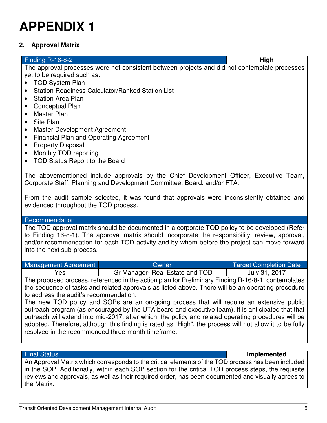### **2. Approval Matrix**

#### Finding R-16-8-2 **High**

The approval processes were not consistent between projects and did not contemplate processes yet to be required such as:

- TOD System Plan
- Station Readiness Calculator/Ranked Station List
- Station Area Plan
- Conceptual Plan
- Master Plan
- Site Plan
- Master Development Agreement
- Financial Plan and Operating Agreement
- Property Disposal
- Monthly TOD reporting
- TOD Status Report to the Board

The abovementioned include approvals by the Chief Development Officer, Executive Team, Corporate Staff, Planning and Development Committee, Board, and/or FTA.

From the audit sample selected, it was found that approvals were inconsistently obtained and evidenced throughout the TOD process.

#### Recommendation

The TOD approval matrix should be documented in a corporate TOD policy to be developed (Refer to Finding 16-8-1). The approval matrix should incorporate the responsibility, review, approval, and/or recommendation for each TOD activity and by whom before the project can move forward into the next sub-process.

| Management Agreement | <b>Owner</b>                    | <b>Target Completion Date</b> |
|----------------------|---------------------------------|-------------------------------|
| Yes                  | Sr Manager- Real Estate and TOD | July 31, 2017                 |

The proposed process, referenced in the action plan for Preliminary Finding R-16-8-1, contemplates the sequence of tasks and related approvals as listed above. There will be an operating procedure to address the audit's recommendation.

The new TOD policy and SOPs are an on-going process that will require an extensive public outreach program (as encouraged by the UTA board and executive team). It is anticipated that that outreach will extend into mid-2017, after which, the policy and related operating procedures will be adopted. Therefore, although this finding is rated as "High", the process will not allow it to be fully resolved in the recommended three-month timeframe.

Final Status **Implemented**

An Approval Matrix which corresponds to the critical elements of the TOD process has been included in the SOP. Additionally, within each SOP section for the critical TOD process steps, the requisite reviews and approvals, as well as their required order, has been documented and visually agrees to the Matrix.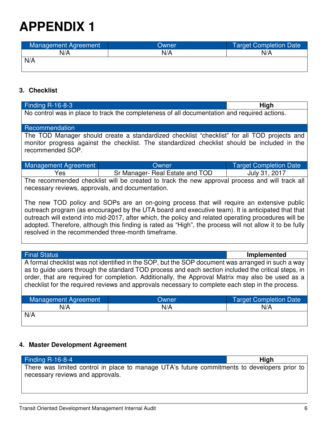| Management Agreement | Owner | <b>Target Completion Date</b> |
|----------------------|-------|-------------------------------|
| N/A                  | N/A   | N/A                           |
| N/A                  |       |                               |
|                      |       |                               |

### **3. Checklist**

| <b>Finding R-16-8-3</b>                                                                                                                                                                                         |                                                                                                   | High                          |
|-----------------------------------------------------------------------------------------------------------------------------------------------------------------------------------------------------------------|---------------------------------------------------------------------------------------------------|-------------------------------|
| No control was in place to track the completeness of all documentation and required actions.                                                                                                                    |                                                                                                   |                               |
| Recommendation                                                                                                                                                                                                  |                                                                                                   |                               |
|                                                                                                                                                                                                                 | The TOD Manager should create a standardized checklist "checklist" for all TOD projects and       |                               |
|                                                                                                                                                                                                                 | monitor progress against the checklist. The standardized checklist should be included in the      |                               |
| recommended SOP.                                                                                                                                                                                                |                                                                                                   |                               |
| <b>Management Agreement</b>                                                                                                                                                                                     | Owner                                                                                             | <b>Target Completion Date</b> |
| Yes                                                                                                                                                                                                             | Sr Manager- Real Estate and TOD                                                                   | July 31, 2017                 |
|                                                                                                                                                                                                                 | The recommended checklist will be created to track the new approval process and will track all    |                               |
| necessary reviews, approvals, and documentation.                                                                                                                                                                |                                                                                                   |                               |
|                                                                                                                                                                                                                 | The new TOD policy and SOPs are an on-going process that will require an extensive public         |                               |
|                                                                                                                                                                                                                 | outreach program (as encouraged by the UTA board and executive team). It is anticipated that that |                               |
|                                                                                                                                                                                                                 |                                                                                                   |                               |
| outreach will extend into mid-2017, after which, the policy and related operating procedures will be<br>adopted. Therefore, although this finding is rated as "High", the process will not allow it to be fully |                                                                                                   |                               |
| resolved in the recommended three-month timeframe.                                                                                                                                                              |                                                                                                   |                               |
|                                                                                                                                                                                                                 |                                                                                                   |                               |
|                                                                                                                                                                                                                 |                                                                                                   |                               |
| <b>Final Status</b>                                                                                                                                                                                             |                                                                                                   | Implemented                   |
|                                                                                                                                                                                                                 | A formal checklist was not identified in the SOP, but the SOP document was arranged in such a way |                               |
| as to guide users through the standard TOD process and each section included the critical steps, in                                                                                                             |                                                                                                   |                               |
| order, that are required for completion. Additionally, the Approval Matrix may also be used as a<br>checklist for the required reviews and approvals necessary to complete each step in the process.            |                                                                                                   |                               |
|                                                                                                                                                                                                                 |                                                                                                   |                               |
| <b>Management Agreement</b>                                                                                                                                                                                     | Owner                                                                                             | <b>Target Completion Date</b> |
| N/A                                                                                                                                                                                                             | N/A                                                                                               | N/A                           |
| N/A                                                                                                                                                                                                             |                                                                                                   |                               |
|                                                                                                                                                                                                                 |                                                                                                   |                               |

### **4. Master Development Agreement**

| Finding $R-16-8-4$                                                                           | High |
|----------------------------------------------------------------------------------------------|------|
| There was limited control in place to manage UTA's future commitments to developers prior to |      |
| necessary reviews and approvals.                                                             |      |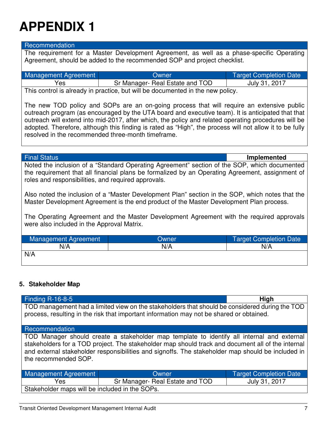#### Recommendation

The requirement for a Master Development Agreement, as well as a phase-specific Operating Agreement, should be added to the recommended SOP and project checklist.

| Management Agreement | Owner                           | <b>Target Completion Date</b> |
|----------------------|---------------------------------|-------------------------------|
| Yes                  | Sr Manager- Real Estate and TOD | July 31, 2017                 |
|                      |                                 |                               |

This control is already in practice, but will be documented in the new policy.

The new TOD policy and SOPs are an on-going process that will require an extensive public outreach program (as encouraged by the UTA board and executive team). It is anticipated that that outreach will extend into mid-2017, after which, the policy and related operating procedures will be adopted. Therefore, although this finding is rated as "High", the process will not allow it to be fully resolved in the recommended three-month timeframe.

Final Status **Implemented**

Noted the inclusion of a "Standard Operating Agreement" section of the SOP, which documented the requirement that all financial plans be formalized by an Operating Agreement, assignment of roles and responsibilities, and required approvals.

Also noted the inclusion of a "Master Development Plan" section in the SOP, which notes that the Master Development Agreement is the end product of the Master Development Plan process.

The Operating Agreement and the Master Development Agreement with the required approvals were also included in the Approval Matrix.

| Management Agreement | Owner | <b>Target Completion Date</b> |
|----------------------|-------|-------------------------------|
| N/A                  | N/A   | N/A                           |
| N/A                  |       |                               |

### **5. Stakeholder Map**

| <b>Finding R-16-8-5</b>                                                                                                                                                                                                                                                                                                      |                                 | High                          |
|------------------------------------------------------------------------------------------------------------------------------------------------------------------------------------------------------------------------------------------------------------------------------------------------------------------------------|---------------------------------|-------------------------------|
| TOD management had a limited view on the stakeholders that should be considered during the TOD<br>process, resulting in the risk that important information may not be shared or obtained.                                                                                                                                   |                                 |                               |
| Recommendation                                                                                                                                                                                                                                                                                                               |                                 |                               |
| TOD Manager should create a stakeholder map template to identify all internal and external<br>stakeholders for a TOD project. The stakeholder map should track and document all of the internal<br>and external stakeholder responsibilities and signoffs. The stakeholder map should be included in<br>the recommended SOP. |                                 |                               |
| Management Agreement                                                                                                                                                                                                                                                                                                         | Owner                           | <b>Target Completion Date</b> |
| Yes                                                                                                                                                                                                                                                                                                                          | Sr Manager- Real Estate and TOD | July 31, 2017                 |
| Stakeholder maps will be included in the SOPs.                                                                                                                                                                                                                                                                               |                                 |                               |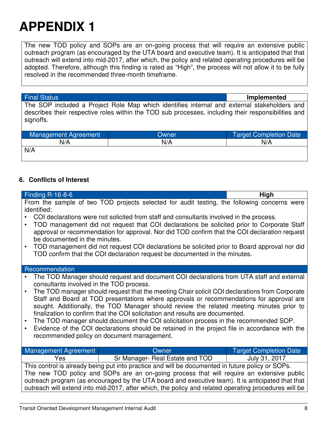The new TOD policy and SOPs are an on-going process that will require an extensive public outreach program (as encouraged by the UTA board and executive team). It is anticipated that that outreach will extend into mid-2017, after which, the policy and related operating procedures will be adopted. Therefore, although this finding is rated as "High", the process will not allow it to be fully resolved in the recommended three-month timeframe.

Final Status **Implemented**

The SOP included a Project Role Map which identifies internal and external stakeholders and describes their respective roles within the TOD sub processes, including their responsibilities and signoffs.

| Management Agreement | Owner | <b>Target Completion Date</b> |
|----------------------|-------|-------------------------------|
| N/A                  | N/A   | N/A                           |
| N/A                  |       |                               |
|                      |       |                               |

### **6. Conflicts of Interest**

| Finding R-16-8-6                                                                                     |                                                                                                                                                                            | High                          |  |
|------------------------------------------------------------------------------------------------------|----------------------------------------------------------------------------------------------------------------------------------------------------------------------------|-------------------------------|--|
|                                                                                                      | From the sample of two TOD projects selected for audit testing, the following concerns were                                                                                |                               |  |
| identified:                                                                                          |                                                                                                                                                                            |                               |  |
|                                                                                                      | COI declarations were not solicited from staff and consultants involved in the process.                                                                                    |                               |  |
|                                                                                                      | TOD management did not request that COI declarations be solicited prior to Corporate Staff                                                                                 |                               |  |
|                                                                                                      | approval or recommendation for approval. Nor did TOD confirm that the COI declaration request                                                                              |                               |  |
| be documented in the minutes.                                                                        |                                                                                                                                                                            |                               |  |
|                                                                                                      | TOD management did not request COI declarations be solicited prior to Board approval nor did<br>TOD confirm that the COI declaration request be documented in the minutes. |                               |  |
|                                                                                                      |                                                                                                                                                                            |                               |  |
| Recommendation                                                                                       |                                                                                                                                                                            |                               |  |
|                                                                                                      | The TOD Manager should request and document COI declarations from UTA staff and external                                                                                   |                               |  |
| consultants involved in the TOD process.                                                             |                                                                                                                                                                            |                               |  |
|                                                                                                      | The TOD manager should request that the meeting Chair solicit COI declarations from Corporate                                                                              |                               |  |
|                                                                                                      | Staff and Board at TOD presentations where approvals or recommendations for approval are                                                                                   |                               |  |
| sought. Additionally, the TOD Manager should review the related meeting minutes prior to             |                                                                                                                                                                            |                               |  |
|                                                                                                      | finalization to confirm that the COI solicitation and results are documented.                                                                                              |                               |  |
| The TOD manager should document the COI solicitation process in the recommended SOP.                 |                                                                                                                                                                            |                               |  |
| $\bullet$                                                                                            | Evidence of the COI declarations should be retained in the project file in accordance with the                                                                             |                               |  |
| recommended policy on document management.                                                           |                                                                                                                                                                            |                               |  |
| Management Agreement                                                                                 | Owner                                                                                                                                                                      | <b>Target Completion Date</b> |  |
| Yes                                                                                                  | Sr Manager- Real Estate and TOD                                                                                                                                            | July 31, 2017                 |  |
| This control is already being put into practice and will be documented in future policy or SOPs.     |                                                                                                                                                                            |                               |  |
| The new TOD policy and SOPs are an on-going process that will require an extensive public            |                                                                                                                                                                            |                               |  |
| outreach program (as encouraged by the UTA board and executive team). It is anticipated that that    |                                                                                                                                                                            |                               |  |
| outreach will extend into mid-2017, after which, the policy and related operating procedures will be |                                                                                                                                                                            |                               |  |
|                                                                                                      |                                                                                                                                                                            |                               |  |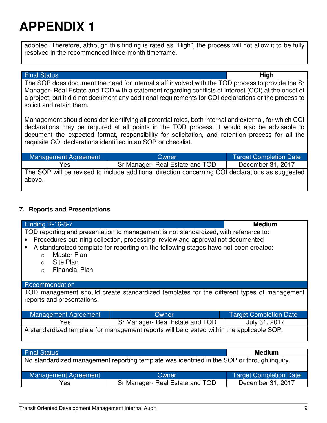adopted. Therefore, although this finding is rated as "High", the process will not allow it to be fully resolved in the recommended three-month timeframe.

#### Final Status **High**

The SOP does document the need for internal staff involved with the TOD process to provide the Sr Manager- Real Estate and TOD with a statement regarding conflicts of interest (COI) at the onset of a project, but it did not document any additional requirements for COI declarations or the process to solicit and retain them.

Management should consider identifying all potential roles, both internal and external, for which COI declarations may be required at all points in the TOD process. It would also be advisable to document the expected format, responsibility for solicitation, and retention process for all the requisite COI declarations identified in an SOP or checklist.

| Management Agreement | Owner                                                                                            | Target Completion Date |
|----------------------|--------------------------------------------------------------------------------------------------|------------------------|
| Yes                  | Sr Manager- Real Estate and TOD                                                                  | December 31, 2017      |
| above.               | The SOP will be revised to include additional direction concerning COI declarations as suggested |                        |

#### **7. Reports and Presentations**

| <b>Finding R-16-8-7</b>          |                                                                                             | <b>Medium</b>                 |  |
|----------------------------------|---------------------------------------------------------------------------------------------|-------------------------------|--|
|                                  | TOD reporting and presentation to management is not standardized, with reference to:        |                               |  |
|                                  | Procedures outlining collection, processing, review and approval not documented             |                               |  |
|                                  |                                                                                             |                               |  |
|                                  | A standardized template for reporting on the following stages have not been created:        |                               |  |
| Master Plan<br>$\bigcirc$        |                                                                                             |                               |  |
| Site Plan<br>$\circ$             |                                                                                             |                               |  |
| <b>Financial Plan</b><br>$\circ$ |                                                                                             |                               |  |
|                                  |                                                                                             |                               |  |
|                                  |                                                                                             |                               |  |
| Recommendation                   |                                                                                             |                               |  |
|                                  | TOD management should create standardized templates for the different types of management   |                               |  |
| reports and presentations.       |                                                                                             |                               |  |
|                                  |                                                                                             |                               |  |
|                                  |                                                                                             |                               |  |
| Management Agreement             | <b>Owner</b>                                                                                | <b>Target Completion Date</b> |  |
| Yes                              | Sr Manager- Real Estate and TOD                                                             | July 31, 2017                 |  |
|                                  | A standardized template for management reports will be created within the applicable SOP.   |                               |  |
|                                  |                                                                                             |                               |  |
|                                  |                                                                                             |                               |  |
|                                  |                                                                                             |                               |  |
| <b>Final Status</b>              |                                                                                             | <b>Medium</b>                 |  |
|                                  |                                                                                             |                               |  |
|                                  | No standardized management reporting template was identified in the SOP or through inquiry. |                               |  |

| Management Agreement | <b>Owner</b>                    | Target Completion Date |
|----------------------|---------------------------------|------------------------|
| Yes                  | Sr Manager- Real Estate and TOD | December 31, 2017      |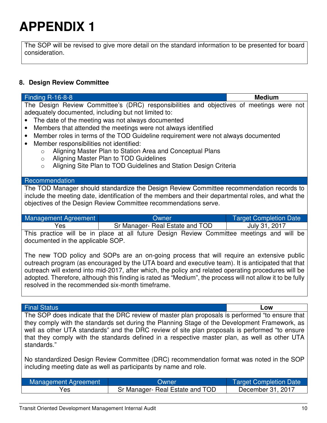The SOP will be revised to give more detail on the standard information to be presented for board consideration.

### **8. Design Review Committee**

| <b>Finding R-16-8-8</b>                                                                                                                                                                                                                                                                                                                                                                                                                                                                                                                                                                                                                      | <b>Medium</b>                 |
|----------------------------------------------------------------------------------------------------------------------------------------------------------------------------------------------------------------------------------------------------------------------------------------------------------------------------------------------------------------------------------------------------------------------------------------------------------------------------------------------------------------------------------------------------------------------------------------------------------------------------------------------|-------------------------------|
| The Design Review Committee's (DRC) responsibilities and objectives of meetings were not<br>adequately documented, including but not limited to:<br>The date of the meeting was not always documented<br>Members that attended the meetings were not always identified<br>Member roles in terms of the TOD Guideline requirement were not always documented<br>$\bullet$<br>Member responsibilities not identified:<br>$\bullet$<br>Aligning Master Plan to Station Area and Conceptual Plans<br>$\circ$<br>Aligning Master Plan to TOD Guidelines<br>$\circ$<br>Aligning Site Plan to TOD Guidelines and Station Design Criteria<br>$\circ$ |                               |
| Recommendation                                                                                                                                                                                                                                                                                                                                                                                                                                                                                                                                                                                                                               |                               |
| The TOD Manager should standardize the Design Review Committee recommendation records to<br>include the meeting date, identification of the members and their departmental roles, and what the<br>objectives of the Design Review Committee recommendations serve.                                                                                                                                                                                                                                                                                                                                                                           |                               |
| Management Agreement<br>Owner                                                                                                                                                                                                                                                                                                                                                                                                                                                                                                                                                                                                                | <b>Target Completion Date</b> |
| Sr Manager- Real Estate and TOD<br>Yes                                                                                                                                                                                                                                                                                                                                                                                                                                                                                                                                                                                                       | July 31, 2017                 |
| This practice will be in place at all future Design Review Committee meetings and will be<br>documented in the applicable SOP.<br>The new TOD policy and SOPs are an on-going process that will require an extensive public<br>outreach program (as encouraged by the UTA board and executive team). It is anticipated that that<br>outreach will extend into mid-2017, after which, the policy and related operating procedures will be<br>adopted. Therefore, although this finding is rated as "Medium", the process will not allow it to be fully<br>resolved in the recommended six-month timeframe.                                    |                               |
| <b>Final Status</b>                                                                                                                                                                                                                                                                                                                                                                                                                                                                                                                                                                                                                          | Low                           |
| The SOP does indicate that the DRC review of master plan proposals is performed "to ensure that<br>they comply with the standards set during the Planning Stage of the Development Framework, as<br>well as other UTA standards" and the DRC review of site plan proposals is performed "to ensure<br>that they comply with the standards defined in a respective master plan, as well as other UTA<br>standards."                                                                                                                                                                                                                           |                               |

No standardized Design Review Committee (DRC) recommendation format was noted in the SOP including meeting date as well as participants by name and role.

| Management Agreement | Owner:                          | <b>Target Completion Date</b> |
|----------------------|---------------------------------|-------------------------------|
| Yes                  | Sr Manager- Real Estate and TOD | December 31, 2017             |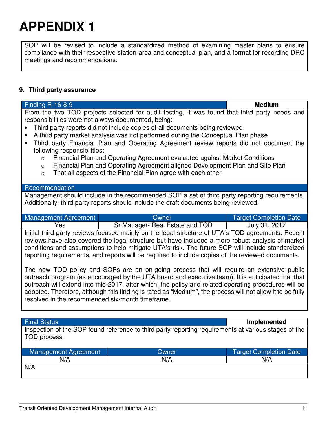SOP will be revised to include a standardized method of examining master plans to ensure compliance with their respective station-area and conceptual plan, and a format for recording DRC meetings and recommendations.

### **9. Third party assurance**

| <b>Finding R-16-8-9</b>                                                                                                                                                                                                                                                                                                                                                                                                                                                                                                                                                                                                                                                                                                      |                                 | <b>Medium</b>                 |
|------------------------------------------------------------------------------------------------------------------------------------------------------------------------------------------------------------------------------------------------------------------------------------------------------------------------------------------------------------------------------------------------------------------------------------------------------------------------------------------------------------------------------------------------------------------------------------------------------------------------------------------------------------------------------------------------------------------------------|---------------------------------|-------------------------------|
| From the two TOD projects selected for audit testing, it was found that third party needs and<br>responsibilities were not always documented, being:<br>Third party reports did not include copies of all documents being reviewed<br>$\bullet$<br>A third party market analysis was not performed during the Conceptual Plan phase<br>Third party Financial Plan and Operating Agreement review reports did not document the<br>following responsibilities:<br>Financial Plan and Operating Agreement evaluated against Market Conditions<br>$\circ$<br>Financial Plan and Operating Agreement aligned Development Plan and Site Plan<br>$\circ$<br>That all aspects of the Financial Plan agree with each other<br>$\circ$ |                                 |                               |
| Recommendation                                                                                                                                                                                                                                                                                                                                                                                                                                                                                                                                                                                                                                                                                                               |                                 |                               |
| Management should include in the recommended SOP a set of third party reporting requirements.<br>Additionally, third party reports should include the draft documents being reviewed.                                                                                                                                                                                                                                                                                                                                                                                                                                                                                                                                        |                                 |                               |
| <b>Management Agreement</b>                                                                                                                                                                                                                                                                                                                                                                                                                                                                                                                                                                                                                                                                                                  | Owner                           | <b>Target Completion Date</b> |
| Yes                                                                                                                                                                                                                                                                                                                                                                                                                                                                                                                                                                                                                                                                                                                          | Sr Manager- Real Estate and TOD | July 31, 2017                 |
| Initial third-party reviews focused mainly on the legal structure of UTA's TOD agreements. Recent<br>reviews have also covered the legal structure but have included a more robust analysis of market<br>conditions and assumptions to help mitigate UTA's risk. The future SOP will include standardized<br>reporting requirements, and reports will be required to include copies of the reviewed documents.                                                                                                                                                                                                                                                                                                               |                                 |                               |
| The new TOD policy and SOPs are an on-going process that will require an extensive public<br>outreach program (as encouraged by the UTA board and executive team). It is anticipated that that<br>outreach will extend into mid-2017, after which, the policy and related operating procedures will be<br>adopted. Therefore, although this finding is rated as "Medium", the process will not allow it to be fully<br>resolved in the recommended six-month timeframe.                                                                                                                                                                                                                                                      |                                 |                               |
|                                                                                                                                                                                                                                                                                                                                                                                                                                                                                                                                                                                                                                                                                                                              |                                 |                               |
| <b>Final Status</b>                                                                                                                                                                                                                                                                                                                                                                                                                                                                                                                                                                                                                                                                                                          |                                 | <b>Implemented</b>            |
| Inspection of the SOP found reference to third party reporting requirements at various stages of the                                                                                                                                                                                                                                                                                                                                                                                                                                                                                                                                                                                                                         |                                 |                               |

| Management Agreement | Dwner | <b>Target Completion Date</b> |
|----------------------|-------|-------------------------------|
| N/A                  | N/A   | N/A                           |
| N/A                  |       |                               |
|                      |       |                               |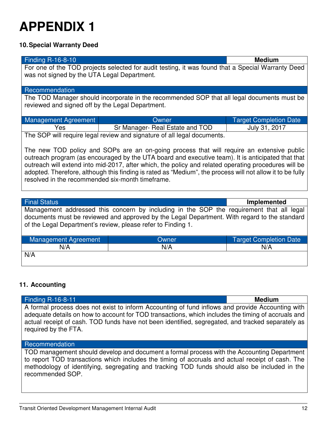### **10. Special Warranty Deed**

| <b>Finding R-16-8-10</b>                                                                                  |                                                                                                   | <b>Medium</b>                 |  |
|-----------------------------------------------------------------------------------------------------------|---------------------------------------------------------------------------------------------------|-------------------------------|--|
|                                                                                                           | For one of the TOD projects selected for audit testing, it was found that a Special Warranty Deed |                               |  |
| was not signed by the UTA Legal Department.                                                               |                                                                                                   |                               |  |
|                                                                                                           |                                                                                                   |                               |  |
| Recommendation                                                                                            |                                                                                                   |                               |  |
|                                                                                                           | The TOD Manager should incorporate in the recommended SOP that all legal documents must be        |                               |  |
| reviewed and signed off by the Legal Department.                                                          |                                                                                                   |                               |  |
|                                                                                                           |                                                                                                   |                               |  |
| <b>Management Agreement</b>                                                                               | Owner                                                                                             | <b>Target Completion Date</b> |  |
| Yes                                                                                                       | Sr Manager- Real Estate and TOD                                                                   | July 31, 2017                 |  |
| The SOP will require legal review and signature of all legal documents.                                   |                                                                                                   |                               |  |
|                                                                                                           |                                                                                                   |                               |  |
| The new TOD policy and SOPs are an on-going process that will require an extensive public                 |                                                                                                   |                               |  |
| outreach program (as encouraged by the UTA board and executive team). It is anticipated that that         |                                                                                                   |                               |  |
| outreach will extend into mid-2017, after which, the policy and related operating procedures will be      |                                                                                                   |                               |  |
| adopted. Therefore, although this finding is rated as "Medium", the process will not allow it to be fully |                                                                                                   |                               |  |
| resolved in the recommended six-month timeframe.                                                          |                                                                                                   |                               |  |
|                                                                                                           |                                                                                                   |                               |  |
|                                                                                                           |                                                                                                   |                               |  |
| <b>Final Status</b>                                                                                       |                                                                                                   | <b>Implemented</b>            |  |

Management addressed this concern by including in the SOP the requirement that all legal documents must be reviewed and approved by the Legal Department. With regard to the standard of the Legal Department's review, please refer to Finding 1.

| Management Agreement | Owner | <b>Target Completion Date</b> |
|----------------------|-------|-------------------------------|
| N/A                  | N/A   | N/A                           |
| N/A                  |       |                               |

### **11. Accounting**

| <b>Finding R-16-8-11</b>                                                                                                  | <b>Medium</b> |
|---------------------------------------------------------------------------------------------------------------------------|---------------|
| A formal process does not exist to inform Accounting of fund inflows and provide Accounting with                          |               |
| adequate details on how to account for TOD transactions, which includes the timing of accruals and                        |               |
| actual receipt of cash. TOD funds have not been identified, segregated, and tracked separately as<br>required by the FTA. |               |
|                                                                                                                           |               |

#### Recommendation

TOD management should develop and document a formal process with the Accounting Department to report TOD transactions which includes the timing of accruals and actual receipt of cash. The methodology of identifying, segregating and tracking TOD funds should also be included in the recommended SOP.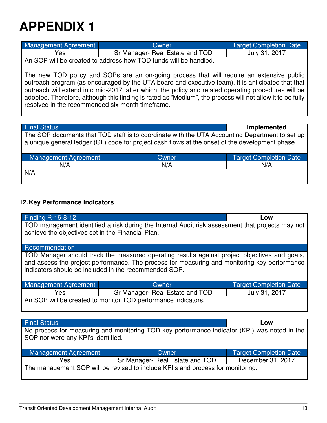| Management Agreement                                             | Owner                           | Target Completion Date |
|------------------------------------------------------------------|---------------------------------|------------------------|
| Yes                                                              | Sr Manager- Real Estate and TOD | July 31, 2017          |
| An SOP will be created to address how TOD funds will be handled. |                                 |                        |

The new TOD policy and SOPs are an on-going process that will require an extensive public outreach program (as encouraged by the UTA board and executive team). It is anticipated that that outreach will extend into mid-2017, after which, the policy and related operating procedures will be adopted. Therefore, although this finding is rated as "Medium", the process will not allow it to be fully resolved in the recommended six-month timeframe.

Final Status **Implemented**

The SOP documents that TOD staff is to coordinate with the UTA Accounting Department to set up a unique general ledger (GL) code for project cash flows at the onset of the development phase.

| Management Agreement | Owner | <b>Target Completion Date</b> |
|----------------------|-------|-------------------------------|
| N/A                  | N/A   | N/A                           |
| N/A                  |       |                               |
|                      |       |                               |

### **12. Key Performance Indicators**

| <b>Finding R-16-8-12</b><br>Low                                                                                                                                                                                                                        |                                                                                              |                               |  |  |
|--------------------------------------------------------------------------------------------------------------------------------------------------------------------------------------------------------------------------------------------------------|----------------------------------------------------------------------------------------------|-------------------------------|--|--|
| TOD management identified a risk during the Internal Audit risk assessment that projects may not<br>achieve the objectives set in the Financial Plan.                                                                                                  |                                                                                              |                               |  |  |
| Recommendation                                                                                                                                                                                                                                         |                                                                                              |                               |  |  |
| TOD Manager should track the measured operating results against project objectives and goals,<br>and assess the project performance. The process for measuring and monitoring key performance<br>indicators should be included in the recommended SOP. |                                                                                              |                               |  |  |
|                                                                                                                                                                                                                                                        |                                                                                              |                               |  |  |
| Management Agreement                                                                                                                                                                                                                                   | Owner                                                                                        | <b>Target Completion Date</b> |  |  |
| Yes.                                                                                                                                                                                                                                                   | Sr Manager- Real Estate and TOD                                                              | July 31, 2017                 |  |  |
|                                                                                                                                                                                                                                                        | An SOP will be created to monitor TOD performance indicators.                                |                               |  |  |
|                                                                                                                                                                                                                                                        |                                                                                              |                               |  |  |
|                                                                                                                                                                                                                                                        |                                                                                              |                               |  |  |
| <b>Final Status</b>                                                                                                                                                                                                                                    |                                                                                              | Low                           |  |  |
|                                                                                                                                                                                                                                                        | No process for measuring and monitoring TOD key performance indicator (KPI) was noted in the |                               |  |  |
| SOP nor were any KPI's identified.                                                                                                                                                                                                                     |                                                                                              |                               |  |  |

| Management Agreement                                                            | Owner                           | Target Completion Date |  |
|---------------------------------------------------------------------------------|---------------------------------|------------------------|--|
| Yes                                                                             | Sr Manager- Real Estate and TOD | December 31, 2017      |  |
| The management SOP will be revised to include KPI's and process for monitoring. |                                 |                        |  |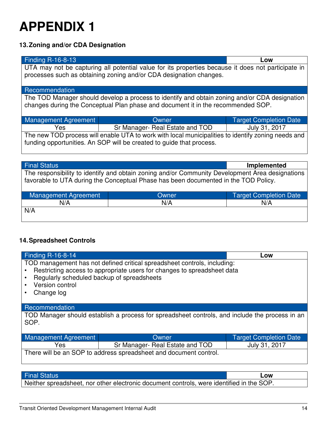### **13. Zoning and/or CDA Designation**

| <b>Finding R-16-8-13</b><br>Low                                                                    |                                                                                                    |                               |  |  |  |
|----------------------------------------------------------------------------------------------------|----------------------------------------------------------------------------------------------------|-------------------------------|--|--|--|
|                                                                                                    | UTA may not be capturing all potential value for its properties because it does not participate in |                               |  |  |  |
|                                                                                                    | processes such as obtaining zoning and/or CDA designation changes.                                 |                               |  |  |  |
|                                                                                                    |                                                                                                    |                               |  |  |  |
| Recommendation                                                                                     |                                                                                                    |                               |  |  |  |
|                                                                                                    | The TOD Manager should develop a process to identify and obtain zoning and/or CDA designation      |                               |  |  |  |
|                                                                                                    | changes during the Conceptual Plan phase and document it in the recommended SOP.                   |                               |  |  |  |
|                                                                                                    |                                                                                                    |                               |  |  |  |
| <b>Management Agreement</b>                                                                        | Owner                                                                                              | <b>Target Completion Date</b> |  |  |  |
| Yes                                                                                                | Sr Manager- Real Estate and TOD                                                                    | July 31, 2017                 |  |  |  |
| The new TOD process will enable UTA to work with local municipalities to identify zoning needs and |                                                                                                    |                               |  |  |  |
| funding opportunities. An SOP will be created to guide that process.                               |                                                                                                    |                               |  |  |  |
|                                                                                                    |                                                                                                    |                               |  |  |  |
|                                                                                                    |                                                                                                    |                               |  |  |  |
| <b>Final Status</b><br><b>Implemented</b>                                                          |                                                                                                    |                               |  |  |  |
| The responsibility to identify and obtain zoning and/or Community Development Area designations    |                                                                                                    |                               |  |  |  |
| favorable to UTA during the Conceptual Phase has been documented in the TOD Policy.                |                                                                                                    |                               |  |  |  |
|                                                                                                    |                                                                                                    |                               |  |  |  |
| <b>Management Agreement</b><br><b>Target Completion Date</b><br>Owner                              |                                                                                                    |                               |  |  |  |
| N/A                                                                                                | N/A                                                                                                | N/A                           |  |  |  |

| <b>14. Spreadsheet Controls</b> |  |
|---------------------------------|--|

N/A

| Finding R-16-8-14<br>Low                                                                                                                                                                                                           |       |                               |  |  |
|------------------------------------------------------------------------------------------------------------------------------------------------------------------------------------------------------------------------------------|-------|-------------------------------|--|--|
| TOD management has not defined critical spreadsheet controls, including:<br>Restricting access to appropriate users for changes to spreadsheet data<br>Regularly scheduled backup of spreadsheets<br>Version control<br>Change log |       |                               |  |  |
| Recommendation                                                                                                                                                                                                                     |       |                               |  |  |
| TOD Manager should establish a process for spreadsheet controls, and include the process in an<br>SOP.                                                                                                                             |       |                               |  |  |
| <b>Management Agreement</b>                                                                                                                                                                                                        | Owner | <b>Target Completion Date</b> |  |  |
| July 31, 2017<br>Sr Manager- Real Estate and TOD<br>Yes                                                                                                                                                                            |       |                               |  |  |
| There will be an SOP to address spreadsheet and document control.                                                                                                                                                                  |       |                               |  |  |

### Final Status **Low**

Neither spreadsheet, nor other electronic document controls, were identified in the SOP.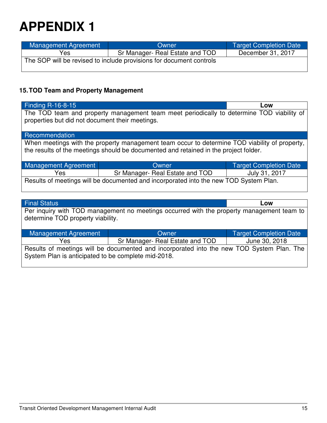| Management Agreement                                                | Owner                           | Target Completion Date |
|---------------------------------------------------------------------|---------------------------------|------------------------|
| Yes                                                                 | Sr Manager- Real Estate and TOD | December 31, 2017      |
| The SOP will be revised to include provisions for document controls |                                 |                        |
|                                                                     |                                 |                        |

### **15. TOD Team and Property Management**

| Finding $R-16-8-15$                                                                                                                                                                   |       | Low                           |  |  |
|---------------------------------------------------------------------------------------------------------------------------------------------------------------------------------------|-------|-------------------------------|--|--|
| The TOD team and property management team meet periodically to determine TOD viability of<br>properties but did not document their meetings.                                          |       |                               |  |  |
| Recommendation                                                                                                                                                                        |       |                               |  |  |
| When meetings with the property management team occur to determine TOD viability of property,<br>the results of the meetings should be documented and retained in the project folder. |       |                               |  |  |
| Management Agreement                                                                                                                                                                  | Owner | <b>Target Completion Date</b> |  |  |
| Sr Manager- Real Estate and TOD<br>July 31, 2017<br>Yes                                                                                                                               |       |                               |  |  |
| Results of meetings will be documented and incorporated into the new TOD System Plan.                                                                                                 |       |                               |  |  |

| <b>Final Status</b>                                                                                                            | Low   |                               |  |  |
|--------------------------------------------------------------------------------------------------------------------------------|-------|-------------------------------|--|--|
| Per inquiry with TOD management no meetings occurred with the property management team to<br>determine TOD property viability. |       |                               |  |  |
| Management Agreement                                                                                                           | Owner | <b>Target Completion Date</b> |  |  |
| June 30, 2018<br>Sr Manager- Real Estate and TOD<br>Yes.                                                                       |       |                               |  |  |
| Results of meetings will be documented and incorporated into the new TOD System Plan. The                                      |       |                               |  |  |
| System Plan is anticipated to be complete mid-2018.                                                                            |       |                               |  |  |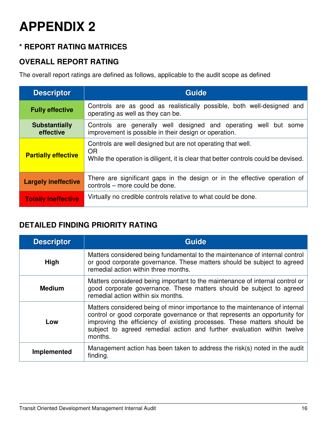### **\* REPORT RATING MATRICES**

### **OVERALL REPORT RATING**

The overall report ratings are defined as follows, applicable to the audit scope as defined

| <b>Descriptor</b>                 | Guide                                                                                                                                                           |
|-----------------------------------|-----------------------------------------------------------------------------------------------------------------------------------------------------------------|
| <b>Fully effective</b>            | Controls are as good as realistically possible, both well-designed and<br>operating as well as they can be.                                                     |
| <b>Substantially</b><br>effective | Controls are generally well designed and operating well but some<br>improvement is possible in their design or operation.                                       |
| <b>Partially effective</b>        | Controls are well designed but are not operating that well.<br><b>OR</b><br>While the operation is diligent, it is clear that better controls could be devised. |
| <b>Largely ineffective</b>        | There are significant gaps in the design or in the effective operation of<br>controls - more could be done.                                                     |
| <b>Totally ineffective</b>        | Virtually no credible controls relative to what could be done.                                                                                                  |

### **DETAILED FINDING PRIORITY RATING**

| <b>Descriptor</b> | <b>Guide</b>                                                                                                                                                                                                                                                                                                              |
|-------------------|---------------------------------------------------------------------------------------------------------------------------------------------------------------------------------------------------------------------------------------------------------------------------------------------------------------------------|
| <b>High</b>       | Matters considered being fundamental to the maintenance of internal control<br>or good corporate governance. These matters should be subject to agreed<br>remedial action within three months.                                                                                                                            |
| <b>Medium</b>     | Matters considered being important to the maintenance of internal control or<br>good corporate governance. These matters should be subject to agreed<br>remedial action within six months.                                                                                                                                |
| Low               | Matters considered being of minor importance to the maintenance of internal<br>control or good corporate governance or that represents an opportunity for<br>improving the efficiency of existing processes. These matters should be<br>subject to agreed remedial action and further evaluation within twelve<br>months. |
| Implemented       | Management action has been taken to address the risk(s) noted in the audit<br>finding.                                                                                                                                                                                                                                    |